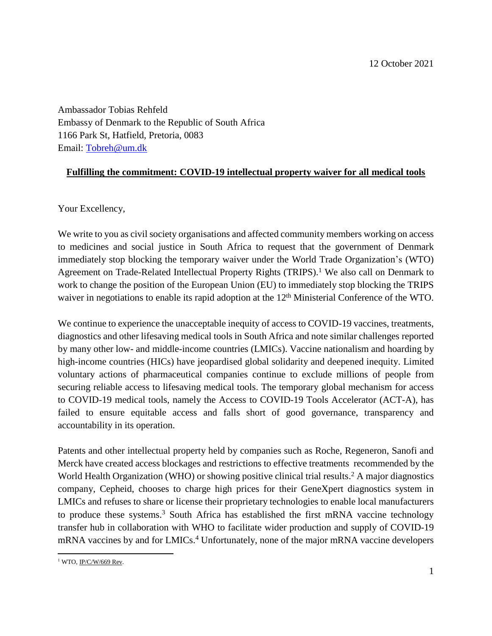Ambassador Tobias Rehfeld Embassy of Denmark to the Republic of South Africa 1166 Park St, Hatfield, Pretoria, 0083 Email: [Tobreh@um.dk](mailto:Tobreh@um.dk)

## **Fulfilling the commitment: COVID-19 intellectual property waiver for all medical tools**

Your Excellency,

We write to you as civil society organisations and affected community members working on access to medicines and social justice in South Africa to request that the government of Denmark immediately stop blocking the temporary waiver under the World Trade Organization's (WTO) Agreement on Trade-Related Intellectual Property Rights (TRIPS).<sup>1</sup> We also call on Denmark to work to change the position of the European Union (EU) to immediately stop blocking the TRIPS waiver in negotiations to enable its rapid adoption at the 12<sup>th</sup> Ministerial Conference of the WTO.

We continue to experience the unacceptable inequity of access to COVID-19 vaccines, treatments, diagnostics and other lifesaving medical tools in South Africa and note similar challenges reported by many other low- and middle-income countries (LMICs). Vaccine nationalism and hoarding by high-income countries (HICs) have jeopardised global solidarity and deepened inequity. Limited voluntary actions of pharmaceutical companies continue to exclude millions of people from securing reliable access to lifesaving medical tools. The temporary global mechanism for access to COVID-19 medical tools, namely the Access to COVID-19 Tools Accelerator (ACT-A), has failed to ensure equitable access and falls short of good governance, transparency and accountability in its operation.

Patents and other intellectual property held by companies such as Roche, Regeneron, Sanofi and Merck have created access blockages and restrictions to effective treatments recommended by the World Health Organization (WHO) or showing positive clinical trial results. <sup>2</sup> A major diagnostics company, Cepheid, chooses to charge high prices for their GeneXpert diagnostics system in LMICs and refuses to share or license their proprietary technologies to enable local manufacturers to produce these systems. <sup>3</sup> South Africa has established the first mRNA vaccine technology transfer hub in collaboration with WHO to facilitate wider production and supply of COVID-19 mRNA vaccines by and for LMICs. <sup>4</sup> Unfortunately, none of the major mRNA vaccine developers

 $\overline{\phantom{a}}$ <sup>1</sup> WTO, <u>IP/C/W/669 Rev</u>.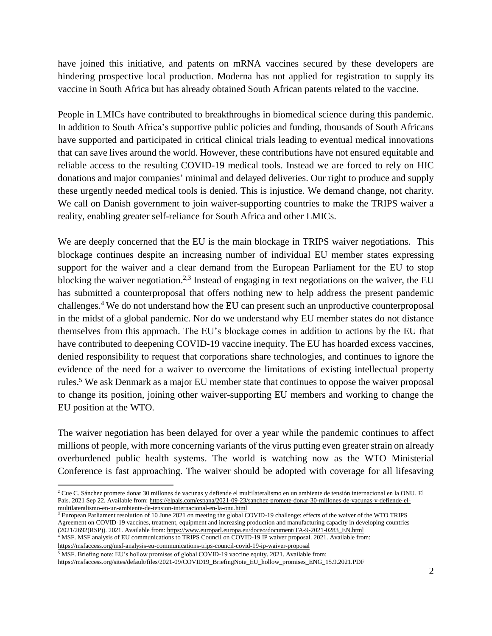have joined this initiative, and patents on mRNA vaccines secured by these developers are hindering prospective local production. Moderna has not applied for registration to supply its vaccine in South Africa but has already obtained South African patents related to the vaccine.

People in LMICs have contributed to breakthroughs in biomedical science during this pandemic. In addition to South Africa's supportive public policies and funding, thousands of South Africans have supported and participated in critical clinical trials leading to eventual medical innovations that can save lives around the world. However, these contributions have not ensured equitable and reliable access to the resulting COVID-19 medical tools. Instead we are forced to rely on HIC donations and major companies' minimal and delayed deliveries. Our right to produce and supply these urgently needed medical tools is denied. This is injustice. We demand change, not charity. We call on Danish government to join waiver-supporting countries to make the TRIPS waiver a reality, enabling greater self-reliance for South Africa and other LMICs.

We are deeply concerned that the EU is the main blockage in TRIPS waiver negotiations. This blockage continues despite an increasing number of individual EU member states expressing support for the waiver and a clear demand from the European Parliament for the EU to stop blocking the waiver negotiation.<sup>2,3</sup> Instead of engaging in text negotiations on the waiver, the EU has submitted a counterproposal that offers nothing new to help address the present pandemic challenges.<sup>4</sup> We do not understand how the EU can present such an unproductive counterproposal in the midst of a global pandemic. Nor do we understand why EU member states do not distance themselves from this approach. The EU's blockage comes in addition to actions by the EU that have contributed to deepening COVID-19 vaccine inequity. The EU has hoarded excess vaccines, denied responsibility to request that corporations share technologies, and continues to ignore the evidence of the need for a waiver to overcome the limitations of existing intellectual property rules. <sup>5</sup> We ask Denmark as a major EU member state that continues to oppose the waiver proposal to change its position, joining other waiver-supporting EU members and working to change the EU position at the WTO.

The waiver negotiation has been delayed for over a year while the pandemic continues to affect millions of people, with more concerning variants of the virus putting even greater strain on already overburdened public health systems. The world is watching now as the WTO Ministerial Conference is fast approaching. The waiver should be adopted with coverage for all lifesaving

 $\frac{3}{3}$  European Parliament resolution of 10 June 2021 on meeting the global COVID-19 challenge: effects of the waiver of the WTO TRIPS Agreement on COVID-19 vaccines, treatment, equipment and increasing production and manufacturing capacity in developing countries (2021/2692(RSP)). 2021. Available from: [https://www.europarl.europa.eu/doceo/document/TA-9-2021-0283\\_EN.html](https://www.europarl.europa.eu/doceo/document/TA-9-2021-0283_EN.html)

<sup>4</sup> MSF. MSF analysis of EU communications to TRIPS Council on COVID-19 IP waiver proposal. 2021. Available from: <https://msfaccess.org/msf-analysis-eu-communications-trips-council-covid-19-ip-waiver-proposal>

<sup>5</sup> MSF. Briefing note: EU's hollow promises of global COVID-19 vaccine equity. 2021. Available from:

 $\overline{\phantom{a}}$ 

[https://msfaccess.org/sites/default/files/2021-09/COVID19\\_BriefingNote\\_EU\\_hollow\\_promises\\_ENG\\_15.9.2021.PDF](https://msfaccess.org/sites/default/files/2021-09/COVID19_BriefingNote_EU_hollow_promises_ENG_15.9.2021.PDF)

<sup>2</sup> Cue C. Sánchez promete donar 30 millones de vacunas y defiende el multilateralismo en un ambiente de tensión internacional en la ONU. El Pais. 2021 Sep 22. Available from[: https://elpais.com/espana/2021-09-23/sanchez-promete-donar-30-millones-de-vacunas-y-defiende-el](https://elpais.com/espana/2021-09-23/sanchez-promete-donar-30-millones-de-vacunas-y-defiende-el-multilateralismo-en-un-ambiente-de-tension-internacional-en-la-onu.html)[multilateralismo-en-un-ambiente-de-tension-internacional-en-la-onu.html](https://elpais.com/espana/2021-09-23/sanchez-promete-donar-30-millones-de-vacunas-y-defiende-el-multilateralismo-en-un-ambiente-de-tension-internacional-en-la-onu.html)